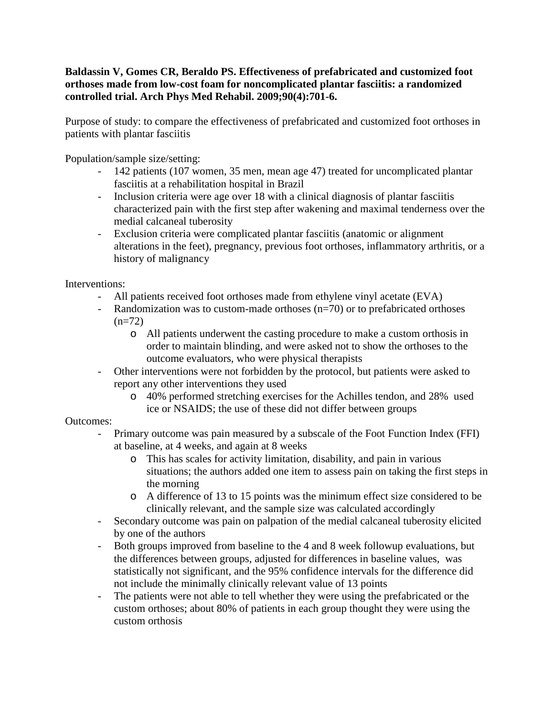## **Baldassin V, Gomes CR, Beraldo PS. Effectiveness of prefabricated and customized foot orthoses made from low-cost foam for noncomplicated plantar fasciitis: a randomized controlled trial. Arch Phys Med Rehabil. 2009;90(4):701-6.**

Purpose of study: to compare the effectiveness of prefabricated and customized foot orthoses in patients with plantar fasciitis

Population/sample size/setting:

- 142 patients (107 women, 35 men, mean age 47) treated for uncomplicated plantar fasciitis at a rehabilitation hospital in Brazil
- Inclusion criteria were age over 18 with a clinical diagnosis of plantar fasciitis characterized pain with the first step after wakening and maximal tenderness over the medial calcaneal tuberosity
- Exclusion criteria were complicated plantar fasciitis (anatomic or alignment alterations in the feet), pregnancy, previous foot orthoses, inflammatory arthritis, or a history of malignancy

Interventions:

- All patients received foot orthoses made from ethylene vinyl acetate (EVA)
- Randomization was to custom-made orthoses (n=70) or to prefabricated orthoses  $(n=72)$ 
	- o All patients underwent the casting procedure to make a custom orthosis in order to maintain blinding, and were asked not to show the orthoses to the outcome evaluators, who were physical therapists
- Other interventions were not forbidden by the protocol, but patients were asked to report any other interventions they used
	- o 40% performed stretching exercises for the Achilles tendon, and 28% used ice or NSAIDS; the use of these did not differ between groups

## Outcomes:

- Primary outcome was pain measured by a subscale of the Foot Function Index (FFI) at baseline, at 4 weeks, and again at 8 weeks
	- o This has scales for activity limitation, disability, and pain in various situations; the authors added one item to assess pain on taking the first steps in the morning
	- o A difference of 13 to 15 points was the minimum effect size considered to be clinically relevant, and the sample size was calculated accordingly
- Secondary outcome was pain on palpation of the medial calcaneal tuberosity elicited by one of the authors
- Both groups improved from baseline to the 4 and 8 week followup evaluations, but the differences between groups, adjusted for differences in baseline values, was statistically not significant, and the 95% confidence intervals for the difference did not include the minimally clinically relevant value of 13 points
- The patients were not able to tell whether they were using the prefabricated or the custom orthoses; about 80% of patients in each group thought they were using the custom orthosis